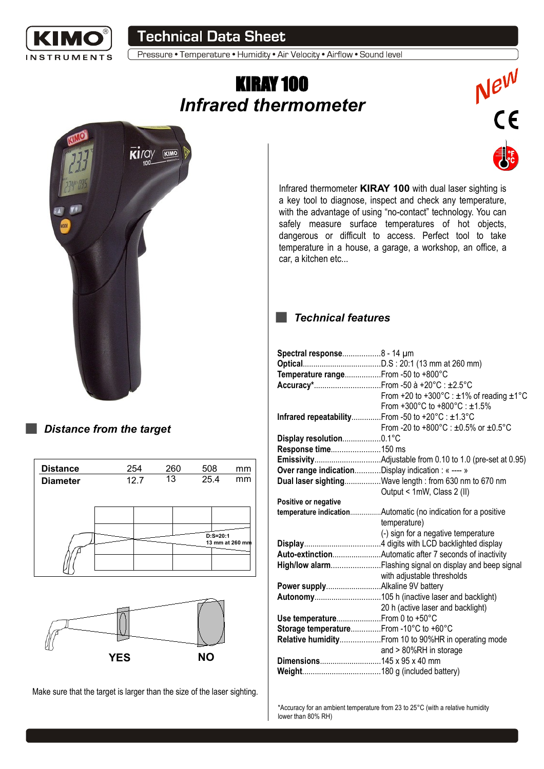

**Technical Data Sheet** 

Pressure • Temperature • Humidity • Air Velocity • Airflow • Sound level

# KIRAY 100 *Infrared thermometer*



### *Distance from the target*

| <b>Distance</b> | 254  |  | 260 |    | 508 |             | mm              |
|-----------------|------|--|-----|----|-----|-------------|-----------------|
| <b>Diameter</b> | 12.7 |  |     | 13 |     | 25.4        | mm              |
|                 |      |  |     |    |     |             |                 |
|                 |      |  |     |    |     |             |                 |
|                 |      |  |     |    |     |             |                 |
|                 |      |  |     |    |     | $D: S=20:1$ | 13 mm at 260 mm |
|                 |      |  |     |    |     |             |                 |
|                 |      |  |     |    |     |             |                 |



Make sure that the target is larger than the size of the laser sighting.

Infrared thermometer **KIRAY 100** with dual laser sighting is a key tool to diagnose, inspect and check any temperature, with the advantage of using "no-contact" technology. You can safely measure surface temperatures of hot objects, dangerous or difficult to access. Perfect tool to take temperature in a house, a garage, a workshop, an office, a car, a kitchen etc...

New<br>CE

#### *Technical features*  $\sim 10$

| Spectral response8 - 14 µm                         |                                                                |
|----------------------------------------------------|----------------------------------------------------------------|
|                                                    |                                                                |
| Temperature rangeFrom -50 to +800°C                |                                                                |
|                                                    |                                                                |
|                                                    | From +20 to +300 $^{\circ}$ C : ±1% of reading ±1 $^{\circ}$ C |
|                                                    | From +300°C to +800°C : ±1.5%                                  |
| Infrared repeatabilityFrom -50 to +20°C : ±1.3°C   |                                                                |
|                                                    | From -20 to +800 $^{\circ}$ C : ±0.5% or ±0.5 $^{\circ}$ C     |
| Display resolution0.1°C                            |                                                                |
| Response time150 ms                                |                                                                |
|                                                    |                                                                |
| Over range indicationDisplay indication : « ---- » |                                                                |
|                                                    | Dual laser sightingWave length: from 630 nm to 670 nm          |
|                                                    | Output < 1mW, Class 2 (II)                                     |
| Positive or negative                               |                                                                |
|                                                    | temperature indicationAutomatic (no indication for a positive  |
|                                                    | temperature)                                                   |
|                                                    | (-) sign for a negative temperature                            |
|                                                    |                                                                |
|                                                    |                                                                |
|                                                    | High/low alarmFlashing signal on display and beep signal       |
|                                                    | with adjustable thresholds                                     |
|                                                    |                                                                |
|                                                    |                                                                |
|                                                    | 20 h (active laser and backlight)                              |
| Use temperature From 0 to +50°C                    |                                                                |
| Storage temperatureFrom -10°C to +60°C             |                                                                |
|                                                    | Relative humidity From 10 to 90%HR in operating mode           |
|                                                    | and > 80%RH in storage                                         |
| Dimensions145 x 95 x 40 mm                         |                                                                |
|                                                    |                                                                |
|                                                    |                                                                |

\*Accuracy for an ambient temperature from 23 to 25°C (with a relative humidity lower than 80% RH)